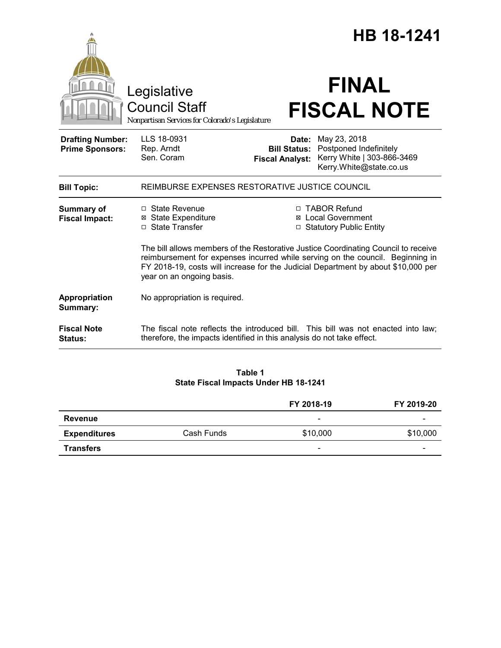|                                                   | Legislative<br><b>Council Staff</b>                                                                                                                                                                                                                                                    |                                               | <b>HB 18-1241</b><br><b>FINAL</b><br><b>FISCAL NOTE</b>                                               |  |
|---------------------------------------------------|----------------------------------------------------------------------------------------------------------------------------------------------------------------------------------------------------------------------------------------------------------------------------------------|-----------------------------------------------|-------------------------------------------------------------------------------------------------------|--|
| <b>Drafting Number:</b><br><b>Prime Sponsors:</b> | Nonpartisan Services for Colorado's Legislature<br>LLS 18-0931<br>Rep. Arndt<br>Sen. Coram                                                                                                                                                                                             | <b>Bill Status:</b><br><b>Fiscal Analyst:</b> | Date: May 23, 2018<br>Postponed Indefinitely<br>Kerry White   303-866-3469<br>Kerry.White@state.co.us |  |
| <b>Bill Topic:</b>                                | REIMBURSE EXPENSES RESTORATIVE JUSTICE COUNCIL                                                                                                                                                                                                                                         |                                               |                                                                                                       |  |
| <b>Summary of</b><br><b>Fiscal Impact:</b>        | $\Box$ State Revenue<br><b>State Expenditure</b><br>⊠<br>□ State Transfer                                                                                                                                                                                                              |                                               | □ TABOR Refund<br><b>⊠</b> Local Government<br>□ Statutory Public Entity                              |  |
|                                                   | The bill allows members of the Restorative Justice Coordinating Council to receive<br>reimbursement for expenses incurred while serving on the council. Beginning in<br>FY 2018-19, costs will increase for the Judicial Department by about \$10,000 per<br>year on an ongoing basis. |                                               |                                                                                                       |  |
| Appropriation<br>Summary:                         | No appropriation is required.                                                                                                                                                                                                                                                          |                                               |                                                                                                       |  |
| <b>Fiscal Note</b><br><b>Status:</b>              | therefore, the impacts identified in this analysis do not take effect.                                                                                                                                                                                                                 |                                               | The fiscal note reflects the introduced bill. This bill was not enacted into law;                     |  |

# **Table 1 State Fiscal Impacts Under HB 18-1241**

|                     |            | FY 2018-19               | FY 2019-20 |
|---------------------|------------|--------------------------|------------|
| Revenue             |            | $\overline{\phantom{0}}$ | -          |
| <b>Expenditures</b> | Cash Funds | \$10,000                 | \$10,000   |
| <b>Transfers</b>    |            | $\overline{\phantom{0}}$ | -          |